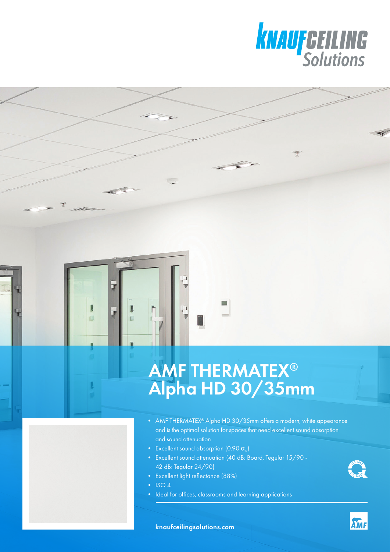

## AMF THERMATEX® Alpha HD 30/35mm

- AMF THERMATEX<sup>®</sup> Alpha HD 30/35mm offers a modern, white appearance and is the optimal solution for spaces that need excellent sound absorption and sound attenuation
- Excellent sound absorption  $(0.90 \, \text{a})$
- Excellent sound attenuation (40 dB: Board, Tegular 15/90 42 dB: Tegular 24/90)
- Excellent light reflectance (88%)
- $\cdot$  ISO 4

 $\overline{\mathbf{a}}$ O

• Ideal for offices, classrooms and learning applications





**AMF**